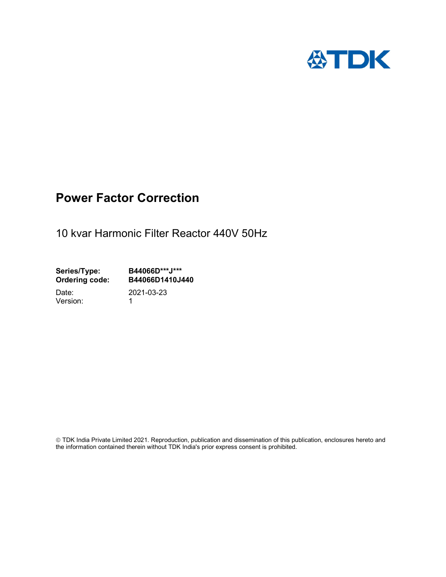

## Power Factor Correction

10 kvar Harmonic Filter Reactor 440V 50Hz

Series/Type: B44066D\*\*\*J\*\*\*<br>Ordering code: B44066D1410J4 Ordering code: B44066D1410J440 Date: 2021-03-23

Version: 1

 TDK India Private Limited 2021. Reproduction, publication and dissemination of this publication, enclosures hereto and the information contained therein without TDK India's prior express consent is prohibited.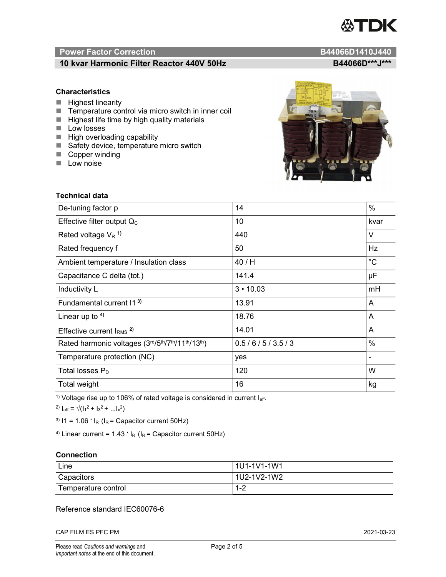# TDK

### Power Factor Correction and Content of Content of Content of Content of Content of Content of Content of Content of Content of Content of Content of Content of Content of Content of Content of Content of Content of Content

#### 10 kvar Harmonic Filter Reactor 440V 50Hz B44066D\*\*\*J\*\*\*

#### **Characteristics**

- $\blacksquare$  Highest linearity
- Temperature control via micro switch in inner coil
- $\blacksquare$  Highest life time by high quality materials
- **Low losses**
- $\blacksquare$  High overloading capability
- Safety device, temperature micro switch
- Copper winding
- **Low noise**



| Technical data                                  |                 |                |  |
|-------------------------------------------------|-----------------|----------------|--|
| De-tuning factor p                              | 14              | %              |  |
| Effective filter output $Q_C$                   | 10              | kvar           |  |
| Rated voltage $V_R$ <sup>1)</sup>               | 440             | $\vee$         |  |
| Rated frequency f                               | 50              | Hz             |  |
| Ambient temperature / Insulation class          | 40 / H          | $^{\circ}C$    |  |
| Capacitance C delta (tot.)                      | 141.4           | μF             |  |
| Inductivity L                                   | $3 \cdot 10.03$ | mH             |  |
| Fundamental current 11 <sup>3)</sup>            | 13.91           | A              |  |
| Linear up to $4$ )                              | 18.76           | A              |  |
| Effective current $IRMS$ <sup>2)</sup>          | 14.01           | A              |  |
| Rated harmonic voltages (3rd/5th/7th/11th/13th) | 0.5/6/5/3.5/3   | $\%$           |  |
| Temperature protection (NC)                     | yes             | $\blacksquare$ |  |
| Total losses $P_D$                              | 120             | W              |  |
| Total weight                                    | 16              | kg             |  |

<sup>1)</sup> Voltage rise up to 106% of rated voltage is considered in current  $I_{\text{eff}}$ .

<sup>2)</sup>  $I_{eff} = \sqrt{(I_1^2 + I_3^2 + ... I_x^2)}$ 

<sup>3)</sup>  $11 = 1.06$   $\cdot$   $I_R$  ( $I_R$  = Capacitor current 50Hz)

<sup>4)</sup> Linear current =  $1.43$   $\cdot$  I<sub>R</sub> (I<sub>R</sub> = Capacitor current 50Hz)

#### **Connection**

| Line                | l 1U1-1V1-1W1 |
|---------------------|---------------|
| Capacitors          | l 1U2-1V2-1W2 |
| Temperature control | 1 O<br>ے- ا   |

#### Reference standard IEC60076-6

CAP FILM ES PFC PM 2021-03-23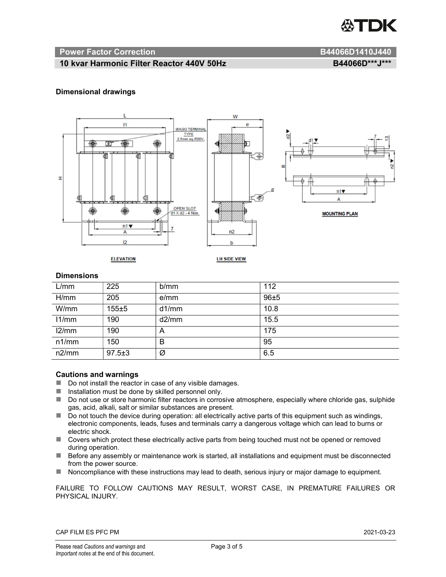

#### Power Factor Correction and B44066D1410J440

#### 10 kvar Harmonic Filter Reactor 440V 50Hz B44066D\*\*\*J\*\*\*

#### Dimensional drawings



#### **Dimensions**

| L/mm  | 225          | b/mm  | 112  |
|-------|--------------|-------|------|
| H/mm  | 205          | e/mm  | 96±5 |
| W/mm  | 155±5        | d1/mm | 10.8 |
| 11/mm | 190          | d2/mm | 15.5 |
| 12/mm | 190          | A     | 175  |
| n1/mm | 150          | B     | 95   |
| n2/mm | $97.5 \pm 3$ | Ø     | 6.5  |

#### Cautions and warnings

- Do not install the reactor in case of any visible damages.
- $\blacksquare$  Installation must be done by skilled personnel only.
- Do not use or store harmonic filter reactors in corrosive atmosphere, especially where chloride gas, sulphide gas, acid, alkali, salt or similar substances are present.
- $\Box$  Do not touch the device during operation: all electrically active parts of this equipment such as windings, electronic components, leads, fuses and terminals carry a dangerous voltage which can lead to burns or electric shock.
- Covers which protect these electrically active parts from being touched must not be opened or removed during operation.
- Before any assembly or maintenance work is started, all installations and equipment must be disconnected from the power source.
- Noncompliance with these instructions may lead to death, serious injury or major damage to equipment.

FAILURE TO FOLLOW CAUTIONS MAY RESULT, WORST CASE, IN PREMATURE FAILURES OR PHYSICAL INJURY.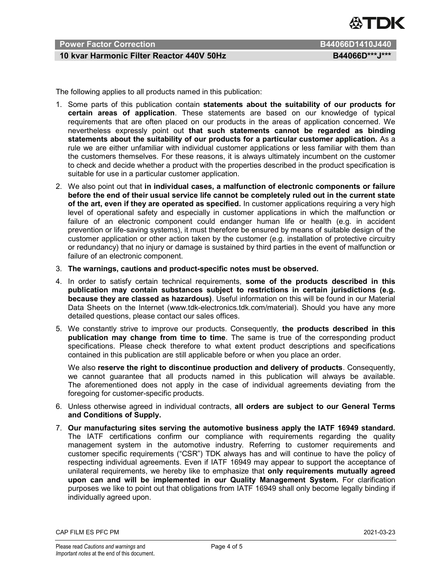

#### Power Factor Correction **B44066D1410J440**

#### 10 kvar Harmonic Filter Reactor 440V 50Hz B44066D\*\*\*J\*\*\*

The following applies to all products named in this publication:

- 1. Some parts of this publication contain statements about the suitability of our products for certain areas of application. These statements are based on our knowledge of typical requirements that are often placed on our products in the areas of application concerned. We nevertheless expressly point out that such statements cannot be regarded as binding statements about the suitability of our products for a particular customer application. As a rule we are either unfamiliar with individual customer applications or less familiar with them than the customers themselves. For these reasons, it is always ultimately incumbent on the customer to check and decide whether a product with the properties described in the product specification is suitable for use in a particular customer application.
- 2. We also point out that in individual cases, a malfunction of electronic components or failure before the end of their usual service life cannot be completely ruled out in the current state of the art, even if they are operated as specified. In customer applications requiring a very high level of operational safety and especially in customer applications in which the malfunction or failure of an electronic component could endanger human life or health (e.g. in accident prevention or life-saving systems), it must therefore be ensured by means of suitable design of the customer application or other action taken by the customer (e.g. installation of protective circuitry or redundancy) that no injury or damage is sustained by third parties in the event of malfunction or failure of an electronic component.
- 3. The warnings, cautions and product-specific notes must be observed.
- 4. In order to satisfy certain technical requirements, some of the products described in this publication may contain substances subject to restrictions in certain jurisdictions (e.g. because they are classed as hazardous). Useful information on this will be found in our Material Data Sheets on the Internet (www.tdk-electronics.tdk.com/material). Should you have any more detailed questions, please contact our sales offices.
- 5. We constantly strive to improve our products. Consequently, the products described in this publication may change from time to time. The same is true of the corresponding product specifications. Please check therefore to what extent product descriptions and specifications contained in this publication are still applicable before or when you place an order.

We also reserve the right to discontinue production and delivery of products. Consequently, we cannot guarantee that all products named in this publication will always be available. The aforementioned does not apply in the case of individual agreements deviating from the foregoing for customer-specific products.

- 6. Unless otherwise agreed in individual contracts, all orders are subject to our General Terms and Conditions of Supply.
- 7. Our manufacturing sites serving the automotive business apply the IATF 16949 standard. The IATF certifications confirm our compliance with requirements regarding the quality management system in the automotive industry. Referring to customer requirements and customer specific requirements ("CSR") TDK always has and will continue to have the policy of respecting individual agreements. Even if IATF 16949 may appear to support the acceptance of unilateral requirements, we hereby like to emphasize that only requirements mutually agreed upon can and will be implemented in our Quality Management System. For clarification purposes we like to point out that obligations from IATF 16949 shall only become legally binding if individually agreed upon.